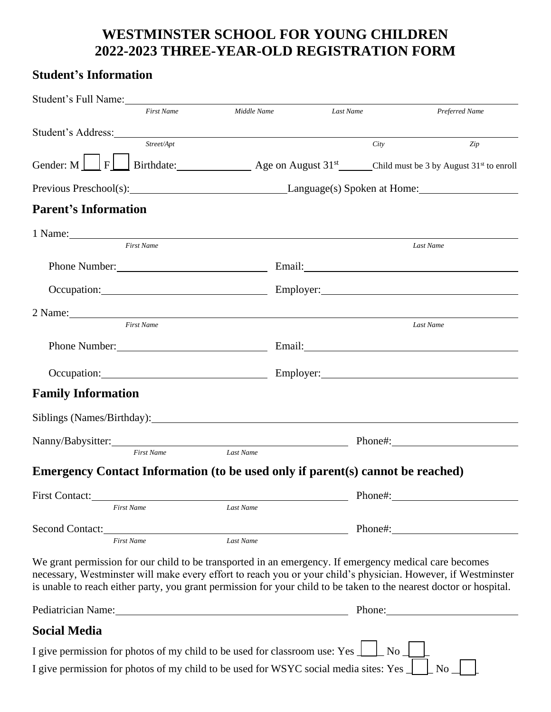## **WESTMINSTER SCHOOL FOR YOUNG CHILDREN 2022-2023 THREE-YEAR-OLD REGISTRATION FORM**

## **Student's Information**

| Student's Full Name:                                                                                                                                                                                                                                                                                                                           |                                 |           |         |                |
|------------------------------------------------------------------------------------------------------------------------------------------------------------------------------------------------------------------------------------------------------------------------------------------------------------------------------------------------|---------------------------------|-----------|---------|----------------|
| <b>First Name</b>                                                                                                                                                                                                                                                                                                                              | Middle Name                     | Last Name |         | Preferred Name |
| Student's Address: North Communication of the Student's Address:                                                                                                                                                                                                                                                                               |                                 |           |         |                |
| Street/Apt                                                                                                                                                                                                                                                                                                                                     |                                 |           | City    | Zip            |
| Gender: M $\boxed{\phantom{2}\phantom{2}}$ F $\boxed{\phantom{2}\phantom{2}}$ Birthdate: Age on August 31 <sup>st</sup> Child must be 3 by August 31 <sup>st</sup> to enroll                                                                                                                                                                   |                                 |           |         |                |
| Previous Preschool(s): Language(s) Spoken at Home: 1.1 anguage(s) Spoken at Home:                                                                                                                                                                                                                                                              |                                 |           |         |                |
| <b>Parent's Information</b>                                                                                                                                                                                                                                                                                                                    |                                 |           |         |                |
| 1 Name:                                                                                                                                                                                                                                                                                                                                        |                                 |           |         |                |
| <b>First Name</b>                                                                                                                                                                                                                                                                                                                              |                                 |           |         | Last Name      |
|                                                                                                                                                                                                                                                                                                                                                |                                 |           |         |                |
| Occupation: Employer: Employer: Employer:                                                                                                                                                                                                                                                                                                      |                                 |           |         |                |
|                                                                                                                                                                                                                                                                                                                                                |                                 |           |         |                |
| <b>First Name</b>                                                                                                                                                                                                                                                                                                                              |                                 |           |         | Last Name      |
|                                                                                                                                                                                                                                                                                                                                                |                                 |           |         |                |
|                                                                                                                                                                                                                                                                                                                                                | Occupation: Employer: Employer: |           |         |                |
| <b>Family Information</b>                                                                                                                                                                                                                                                                                                                      |                                 |           |         |                |
| Siblings (Names/Birthday): 1999. [2016] The Siblings (Names/Birthday):                                                                                                                                                                                                                                                                         |                                 |           |         |                |
| Nanny/Babysitter: Phone#: Phone#:                                                                                                                                                                                                                                                                                                              |                                 |           |         |                |
| <b>First Name</b>                                                                                                                                                                                                                                                                                                                              | Last Name                       |           |         |                |
| Emergency Contact Information (to be used only if parent(s) cannot be reached)                                                                                                                                                                                                                                                                 |                                 |           |         |                |
| <b>First Contact:</b>                                                                                                                                                                                                                                                                                                                          |                                 |           | Phone#: |                |
| <b>First Name</b>                                                                                                                                                                                                                                                                                                                              | Last Name                       |           |         |                |
| Second Contact:                                                                                                                                                                                                                                                                                                                                |                                 |           | Phone#: |                |
| <b>First Name</b>                                                                                                                                                                                                                                                                                                                              | Last Name                       |           |         |                |
| We grant permission for our child to be transported in an emergency. If emergency medical care becomes<br>necessary, Westminster will make every effort to reach you or your child's physician. However, if Westminster<br>is unable to reach either party, you grant permission for your child to be taken to the nearest doctor or hospital. |                                 |           |         |                |
| Pediatrician Name: 1988 and 1988 and 1988 and 1988 and 1988 and 1988 and 1988 and 1988 and 1988 and 1988 and 1988 and 1988 and 1988 and 1988 and 1988 and 1988 and 1988 and 1988 and 1988 and 1988 and 1988 and 1988 and 1988                                                                                                                  |                                 |           |         | Phone:         |
| <b>Social Media</b>                                                                                                                                                                                                                                                                                                                            |                                 |           |         |                |
| I give permission for photos of my child to be used for classroom use: Yes $\perp$ No $\perp$                                                                                                                                                                                                                                                  |                                 |           |         |                |
| I give permission for photos of my child to be used for WSYC social media sites: Yes _                                                                                                                                                                                                                                                         |                                 |           |         | No             |